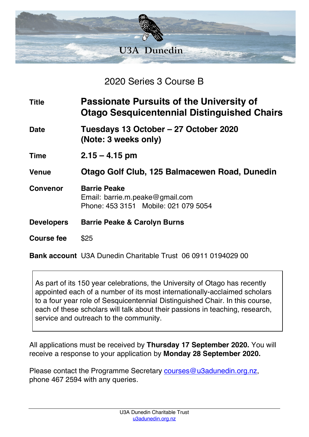

2020 Series 3 Course B

| <b>Title</b>      | <b>Passionate Pursuits of the University of</b><br><b>Otago Sesquicentennial Distinguished Chairs</b> |
|-------------------|-------------------------------------------------------------------------------------------------------|
| <b>Date</b>       | Tuesdays 13 October – 27 October 2020<br>(Note: 3 weeks only)                                         |
| <b>Time</b>       | $2.15 - 4.15$ pm                                                                                      |
| <b>Venue</b>      | Otago Golf Club, 125 Balmacewen Road, Dunedin                                                         |
| <b>Convenor</b>   | <b>Barrie Peake</b><br>Email: barrie.m.peake@gmail.com<br>Phone: 453 3151 Mobile: 021 079 5054        |
| <b>Developers</b> | <b>Barrie Peake &amp; Carolyn Burns</b>                                                               |
| Course fee        | \$25                                                                                                  |

**Bank account** U3A Dunedin Charitable Trust 06 0911 0194029 00

As part of its 150 year celebrations, the University of Otago has recently appointed each of a number of its most internationally-acclaimed scholars to a four year role of Sesquicentennial Distinguished Chair. In this course, each of these scholars will talk about their passions in teaching, research, service and outreach to the community.

All applications must be received by **Thursday 17 September 2020.** You will receive a response to your application by **Monday 28 September 2020.**

Please contact the Programme Secretary courses@u3adunedin.org.nz, phone 467 2594 with any queries.